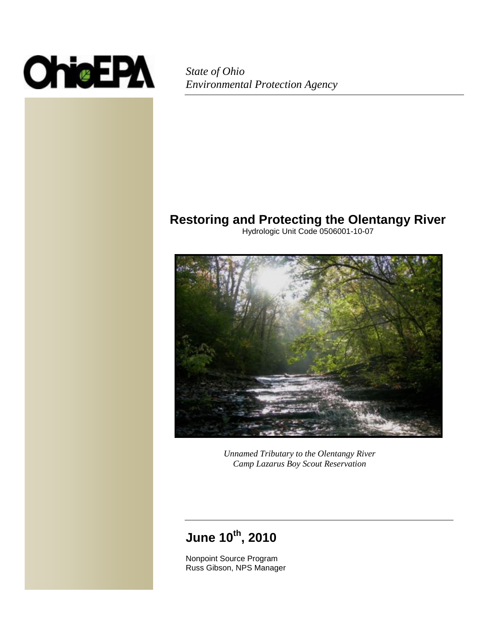

*State of Ohio Environmental Protection Agency*

### **Restoring and Protecting the Olentangy River**

Hydrologic Unit Code 0506001-10-07



*Unnamed Tributary to the Olentangy River Camp Lazarus Boy Scout Reservation*

# **June 10th, 2010**

Nonpoint Source Program Russ Gibson, NPS Manager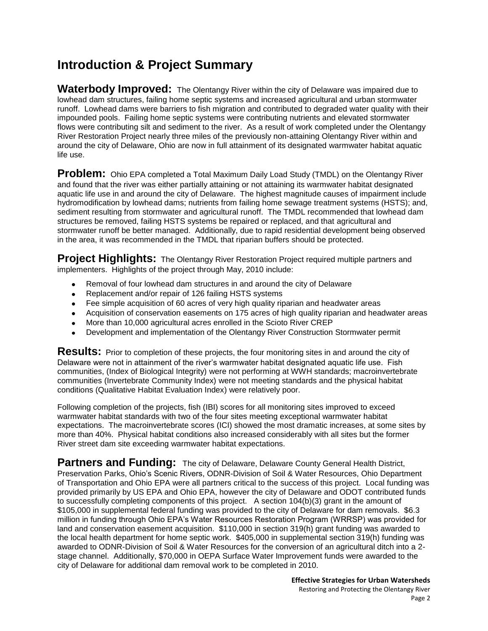# **Introduction & Project Summary**

**Waterbody Improved:** The Olentangy River within the city of Delaware was impaired due to lowhead dam structures, failing home septic systems and increased agricultural and urban stormwater runoff. Lowhead dams were barriers to fish migration and contributed to degraded water quality with their impounded pools. Failing home septic systems were contributing nutrients and elevated stormwater flows were contributing silt and sediment to the river. As a result of work completed under the Olentangy River Restoration Project nearly three miles of the previously non-attaining Olentangy River within and around the city of Delaware, Ohio are now in full attainment of its designated warmwater habitat aquatic life use.

**Problem:** Ohio EPA completed a Total Maximum Daily Load Study (TMDL) on the Olentangy River and found that the river was either partially attaining or not attaining its warmwater habitat designated aquatic life use in and around the city of Delaware. The highest magnitude causes of impairment include hydromodification by lowhead dams; nutrients from failing home sewage treatment systems (HSTS); and, sediment resulting from stormwater and agricultural runoff. The TMDL recommended that lowhead dam structures be removed, failing HSTS systems be repaired or replaced, and that agricultural and stormwater runoff be better managed. Additionally, due to rapid residential development being observed in the area, it was recommended in the TMDL that riparian buffers should be protected.

**Project Highlights:** The Olentangy River Restoration Project required multiple partners and implementers. Highlights of the project through May, 2010 include:

- Removal of four lowhead dam structures in and around the city of Delaware
- Replacement and/or repair of 126 failing HSTS systems  $\bullet$
- Fee simple acquisition of 60 acres of very high quality riparian and headwater areas  $\bullet$
- Acquisition of conservation easements on 175 acres of high quality riparian and headwater areas
- More than 10,000 agricultural acres enrolled in the Scioto River CREP
- Development and implementation of the Olentangy River Construction Stormwater permit

**Results:** Prior to completion of these projects, the four monitoring sites in and around the city of Delaware were not in attainment of the river's warmwater habitat designated aquatic life use. Fish communities, (Index of Biological Integrity) were not performing at WWH standards; macroinvertebrate communities (Invertebrate Community Index) were not meeting standards and the physical habitat conditions (Qualitative Habitat Evaluation Index) were relatively poor.

Following completion of the projects, fish (IBI) scores for all monitoring sites improved to exceed warmwater habitat standards with two of the four sites meeting exceptional warmwater habitat expectations. The macroinvertebrate scores (ICI) showed the most dramatic increases, at some sites by more than 40%. Physical habitat conditions also increased considerably with all sites but the former River street dam site exceeding warmwater habitat expectations.

Partners and Funding: The city of Delaware, Delaware County General Health District, Preservation Parks, Ohio's Scenic Rivers, ODNR-Division of Soil & Water Resources, Ohio Department of Transportation and Ohio EPA were all partners critical to the success of this project. Local funding was provided primarily by US EPA and Ohio EPA, however the city of Delaware and ODOT contributed funds to successfully completing components of this project. A section 104(b)(3) grant in the amount of \$105,000 in supplemental federal funding was provided to the city of Delaware for dam removals. \$6.3 million in funding through Ohio EPA's Water Resources Restoration Program (WRRSP) was provided for land and conservation easement acquisition. \$110,000 in section 319(h) grant funding was awarded to the local health department for home septic work. \$405,000 in supplemental section 319(h) funding was awarded to ODNR-Division of Soil & Water Resources for the conversion of an agricultural ditch into a 2 stage channel. Additionally, \$70,000 in OEPA Surface Water Improvement funds were awarded to the city of Delaware for additional dam removal work to be completed in 2010.

> **Effective Strategies for Urban Watersheds** Restoring and Protecting the Olentangy River Page 2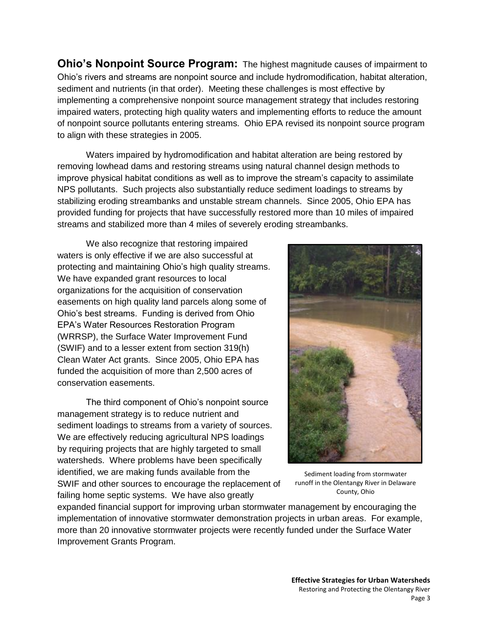**Ohio's Nonpoint Source Program:** The highest magnitude causes of impairment to Ohio's rivers and streams are nonpoint source and include hydromodification, habitat alteration, sediment and nutrients (in that order). Meeting these challenges is most effective by implementing a comprehensive nonpoint source management strategy that includes restoring impaired waters, protecting high quality waters and implementing efforts to reduce the amount of nonpoint source pollutants entering streams. Ohio EPA revised its nonpoint source program to align with these strategies in 2005.

Waters impaired by hydromodification and habitat alteration are being restored by removing lowhead dams and restoring streams using natural channel design methods to improve physical habitat conditions as well as to improve the stream's capacity to assimilate NPS pollutants. Such projects also substantially reduce sediment loadings to streams by stabilizing eroding streambanks and unstable stream channels. Since 2005, Ohio EPA has provided funding for projects that have successfully restored more than 10 miles of impaired streams and stabilized more than 4 miles of severely eroding streambanks.

We also recognize that restoring impaired waters is only effective if we are also successful at protecting and maintaining Ohio's high quality streams. We have expanded grant resources to local organizations for the acquisition of conservation easements on high quality land parcels along some of Ohio's best streams. Funding is derived from Ohio EPA's Water Resources Restoration Program (WRRSP), the Surface Water Improvement Fund (SWIF) and to a lesser extent from section 319(h) Clean Water Act grants. Since 2005, Ohio EPA has funded the acquisition of more than 2,500 acres of conservation easements.

The third component of Ohio's nonpoint source management strategy is to reduce nutrient and sediment loadings to streams from a variety of sources. We are effectively reducing agricultural NPS loadings by requiring projects that are highly targeted to small watersheds. Where problems have been specifically identified, we are making funds available from the SWIF and other sources to encourage the replacement of failing home septic systems. We have also greatly



Sediment loading from stormwater runoff in the Olentangy River in Delaware County, Ohio

expanded financial support for improving urban stormwater management by encouraging the implementation of innovative stormwater demonstration projects in urban areas. For example, more than 20 innovative stormwater projects were recently funded under the Surface Water Improvement Grants Program.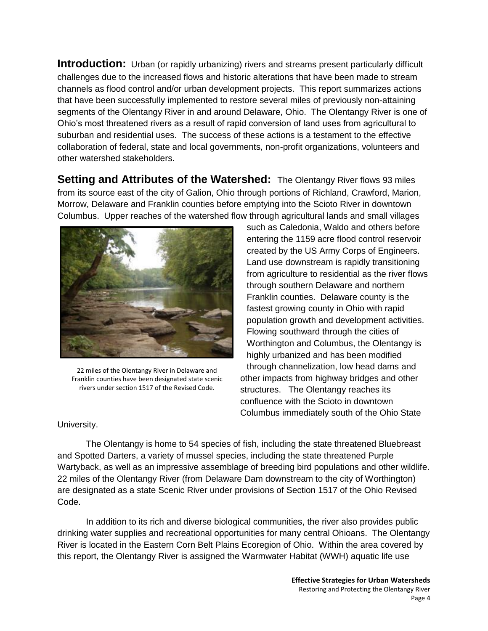**Introduction:** Urban (or rapidly urbanizing) rivers and streams present particularly difficult challenges due to the increased flows and historic alterations that have been made to stream channels as flood control and/or urban development projects. This report summarizes actions that have been successfully implemented to restore several miles of previously non-attaining segments of the Olentangy River in and around Delaware, Ohio. The Olentangy River is one of Ohio's most threatened rivers as a result of rapid conversion of land uses from agricultural to suburban and residential uses. The success of these actions is a testament to the effective collaboration of federal, state and local governments, non-profit organizations, volunteers and other watershed stakeholders.

**Setting and Attributes of the Watershed:** The Olentangy River flows 93 miles from its source east of the city of Galion, Ohio through portions of Richland, Crawford, Marion, Morrow, Delaware and Franklin counties before emptying into the Scioto River in downtown Columbus. Upper reaches of the watershed flow through agricultural lands and small villages



22 miles of the Olentangy River in Delaware and Franklin counties have been designated state scenic rivers under section 1517 of the Revised Code.

such as Caledonia, Waldo and others before entering the 1159 acre flood control reservoir created by the US Army Corps of Engineers. Land use downstream is rapidly transitioning from agriculture to residential as the river flows through southern Delaware and northern Franklin counties. Delaware county is the fastest growing county in Ohio with rapid population growth and development activities. Flowing southward through the cities of Worthington and Columbus, the Olentangy is highly urbanized and has been modified through channelization, low head dams and other impacts from highway bridges and other structures. The Olentangy reaches its confluence with the Scioto in downtown Columbus immediately south of the Ohio State

University.

The Olentangy is home to 54 species of fish, including the state threatened Bluebreast and Spotted Darters, a variety of mussel species, including the state threatened Purple Wartyback, as well as an impressive assemblage of breeding bird populations and other wildlife. 22 miles of the Olentangy River (from Delaware Dam downstream to the city of Worthington) are designated as a state Scenic River under provisions of Section 1517 of the Ohio Revised Code.

In addition to its rich and diverse biological communities, the river also provides public drinking water supplies and recreational opportunities for many central Ohioans. The Olentangy River is located in the Eastern Corn Belt Plains Ecoregion of Ohio. Within the area covered by this report, the Olentangy River is assigned the Warmwater Habitat (WWH) aquatic life use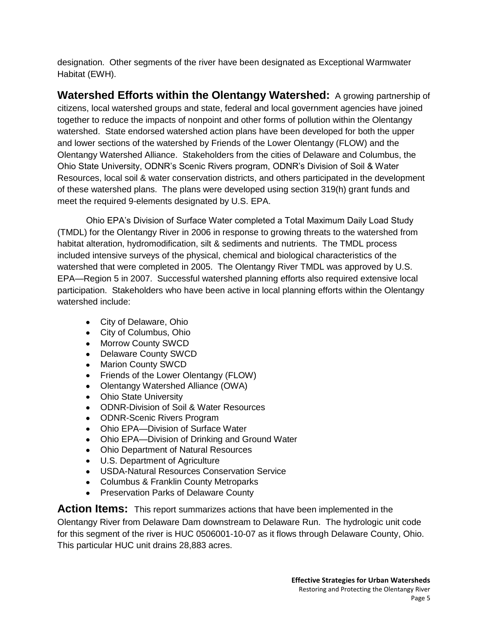designation. Other segments of the river have been designated as Exceptional Warmwater Habitat (EWH).

**Watershed Efforts within the Olentangy Watershed:** A growing partnership of citizens, local watershed groups and state, federal and local government agencies have joined together to reduce the impacts of nonpoint and other forms of pollution within the Olentangy watershed. State endorsed watershed action plans have been developed for both the upper and lower sections of the watershed by Friends of the Lower Olentangy (FLOW) and the Olentangy Watershed Alliance. Stakeholders from the cities of Delaware and Columbus, the Ohio State University, ODNR's Scenic Rivers program, ODNR's Division of Soil & Water Resources, local soil & water conservation districts, and others participated in the development of these watershed plans. The plans were developed using section 319(h) grant funds and meet the required 9-elements designated by U.S. EPA.

Ohio EPA's Division of Surface Water completed a Total Maximum Daily Load Study (TMDL) for the Olentangy River in 2006 in response to growing threats to the watershed from habitat alteration, hydromodification, silt & sediments and nutrients. The TMDL process included intensive surveys of the physical, chemical and biological characteristics of the watershed that were completed in 2005. The Olentangy River TMDL was approved by U.S. EPA—Region 5 in 2007. Successful watershed planning efforts also required extensive local participation. Stakeholders who have been active in local planning efforts within the Olentangy watershed include:

- City of Delaware, Ohio
- City of Columbus, Ohio
- Morrow County SWCD
- Delaware County SWCD
- Marion County SWCD
- Friends of the Lower Olentangy (FLOW)
- Olentangy Watershed Alliance (OWA)
- Ohio State University
- ODNR-Division of Soil & Water Resources
- ODNR-Scenic Rivers Program
- Ohio EPA—Division of Surface Water
- Ohio EPA—Division of Drinking and Ground Water
- Ohio Department of Natural Resources
- U.S. Department of Agriculture
- USDA-Natural Resources Conservation Service
- Columbus & Franklin County Metroparks
- Preservation Parks of Delaware County

**Action Items:** This report summarizes actions that have been implemented in the

Olentangy River from Delaware Dam downstream to Delaware Run. The hydrologic unit code for this segment of the river is HUC 0506001-10-07 as it flows through Delaware County, Ohio. This particular HUC unit drains 28,883 acres.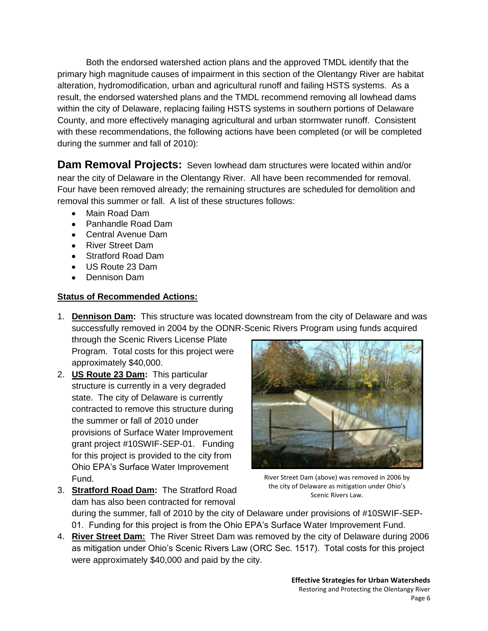Both the endorsed watershed action plans and the approved TMDL identify that the primary high magnitude causes of impairment in this section of the Olentangy River are habitat alteration, hydromodification, urban and agricultural runoff and failing HSTS systems. As a result, the endorsed watershed plans and the TMDL recommend removing all lowhead dams within the city of Delaware, replacing failing HSTS systems in southern portions of Delaware County, and more effectively managing agricultural and urban stormwater runoff. Consistent with these recommendations, the following actions have been completed (or will be completed during the summer and fall of 2010):

**Dam Removal Projects:** Seven lowhead dam structures were located within and/or near the city of Delaware in the Olentangy River. All have been recommended for removal. Four have been removed already; the remaining structures are scheduled for demolition and removal this summer or fall. A list of these structures follows:

- Main Road Dam
- Panhandle Road Dam
- Central Avenue Dam
- River Street Dam
- Stratford Road Dam
- US Route 23 Dam
- Dennison Dam

#### **Status of Recommended Actions:**

1. **Dennison Dam:** This structure was located downstream from the city of Delaware and was successfully removed in 2004 by the ODNR-Scenic Rivers Program using funds acquired

through the Scenic Rivers License Plate Program. Total costs for this project were approximately \$40,000.

2. **US Route 23 Dam:** This particular structure is currently in a very degraded state. The city of Delaware is currently contracted to remove this structure during the summer or fall of 2010 under provisions of Surface Water Improvement grant project #10SWIF-SEP-01. Funding for this project is provided to the city from Ohio EPA's Surface Water Improvement Fund.

3. **Stratford Road Dam:** The Stratford Road



River Street Dam (above) was removed in 2006 by the city of Delaware as mitigation under Ohio's Scenic Rivers Law.

dam has also been contracted for removal during the summer, fall of 2010 by the city of Delaware under provisions of #10SWIF-SEP-01. Funding for this project is from the Ohio EPA's Surface Water Improvement Fund.

4. **River Street Dam:** The River Street Dam was removed by the city of Delaware during 2006 as mitigation under Ohio's Scenic Rivers Law (ORC Sec. 1517). Total costs for this project were approximately \$40,000 and paid by the city.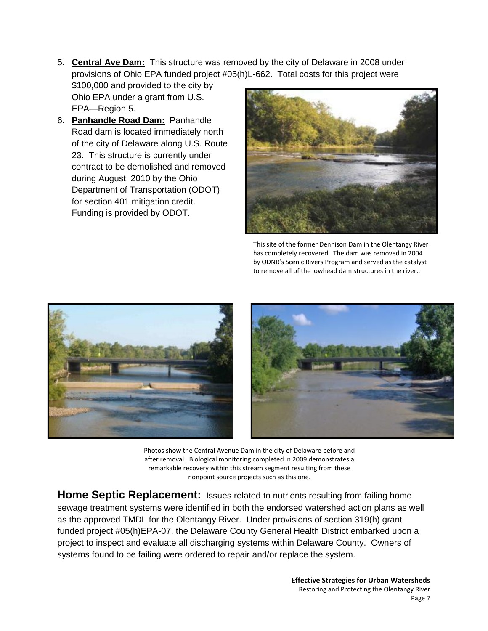5. **Central Ave Dam:** This structure was removed by the city of Delaware in 2008 under provisions of Ohio EPA funded project #05(h)L-662. Total costs for this project were

\$100,000 and provided to the city by Ohio EPA under a grant from U.S. EPA—Region 5.

6. **Panhandle Road Dam:** Panhandle Road dam is located immediately north of the city of Delaware along U.S. Route 23. This structure is currently under contract to be demolished and removed during August, 2010 by the Ohio Department of Transportation (ODOT) for section 401 mitigation credit. Funding is provided by ODOT.



This site of the former Dennison Dam in the Olentangy River has completely recovered. The dam was removed in 2004 by ODNR's Scenic Rivers Program and served as the catalyst to remove all of the lowhead dam structures in the river..



Photos show the Central Avenue Dam in the city of Delaware before and after removal. Biological monitoring completed in 2009 demonstrates a remarkable recovery within this stream segment resulting from these nonpoint source projects such as this one.

**Home Septic Replacement:** Issues related to nutrients resulting from failing home sewage treatment systems were identified in both the endorsed watershed action plans as well as the approved TMDL for the Olentangy River. Under provisions of section 319(h) grant funded project #05(h)EPA-07, the Delaware County General Health District embarked upon a project to inspect and evaluate all discharging systems within Delaware County. Owners of systems found to be failing were ordered to repair and/or replace the system.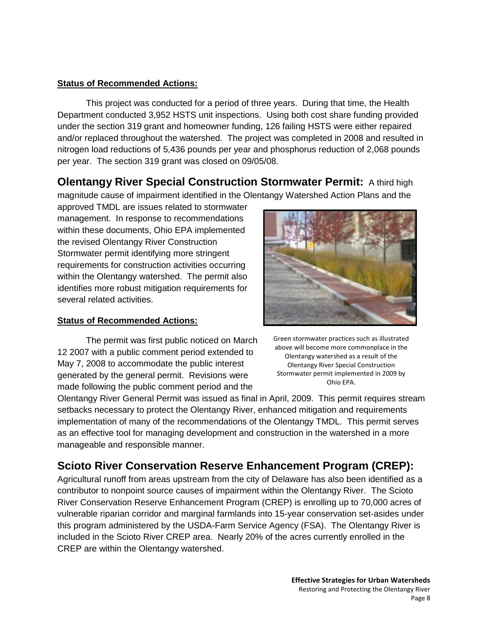#### **Status of Recommended Actions:**

This project was conducted for a period of three years. During that time, the Health Department conducted 3,952 HSTS unit inspections. Using both cost share funding provided under the section 319 grant and homeowner funding, 126 failing HSTS were either repaired and/or replaced throughout the watershed. The project was completed in 2008 and resulted in nitrogen load reductions of 5,436 pounds per year and phosphorus reduction of 2,068 pounds per year. The section 319 grant was closed on 09/05/08.

**Olentangy River Special Construction Stormwater Permit:** A third high magnitude cause of impairment identified in the Olentangy Watershed Action Plans and the

approved TMDL are issues related to stormwater management. In response to recommendations within these documents, Ohio EPA implemented the revised Olentangy River Construction Stormwater permit identifying more stringent requirements for construction activities occurring within the Olentangy watershed. The permit also identifies more robust mitigation requirements for several related activities.

#### **Status of Recommended Actions:**

The permit was first public noticed on March 12 2007 with a public comment period extended to May 7, 2008 to accommodate the public interest generated by the general permit. Revisions were made following the public comment period and the



Green stormwater practices such as illustrated above will become more commonplace in the Olentangy watershed as a result of the Olentangy River Special Construction Stormwater permit implemented in 2009 by Ohio EPA.

Olentangy River General Permit was issued as final in April, 2009. This permit requires stream setbacks necessary to protect the Olentangy River, enhanced mitigation and requirements implementation of many of the recommendations of the Olentangy TMDL. This permit serves as an effective tool for managing development and construction in the watershed in a more manageable and responsible manner.

### **Scioto River Conservation Reserve Enhancement Program (CREP):**

Agricultural runoff from areas upstream from the city of Delaware has also been identified as a contributor to nonpoint source causes of impairment within the Olentangy River. The Scioto River Conservation Reserve Enhancement Program (CREP) is enrolling up to 70,000 acres of vulnerable riparian corridor and marginal farmlands into 15-year conservation set-asides under this program administered by the USDA-Farm Service Agency (FSA). The Olentangy River is included in the Scioto River CREP area. Nearly 20% of the acres currently enrolled in the CREP are within the Olentangy watershed.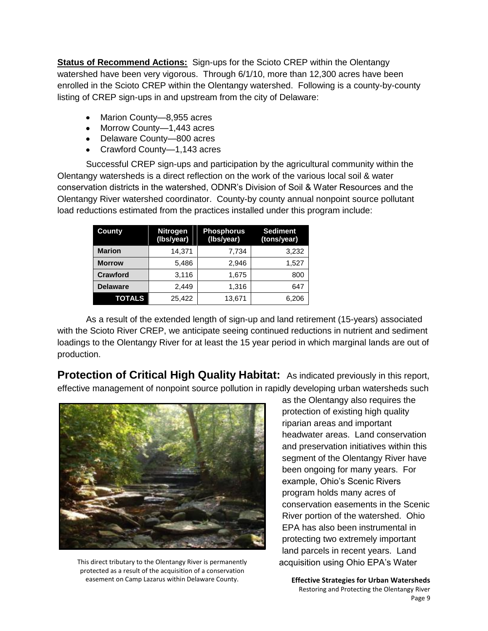**Status of Recommend Actions:** Sign-ups for the Scioto CREP within the Olentangy watershed have been very vigorous. Through 6/1/10, more than 12,300 acres have been enrolled in the Scioto CREP within the Olentangy watershed. Following is a county-by-county listing of CREP sign-ups in and upstream from the city of Delaware:

- Marion County-8,955 acres
- Morrow County-1,443 acres
- Delaware County—800 acres
- Crawford County—1,143 acres

Successful CREP sign-ups and participation by the agricultural community within the Olentangy watersheds is a direct reflection on the work of the various local soil & water conservation districts in the watershed, ODNR's Division of Soil & Water Resources and the Olentangy River watershed coordinator. County-by county annual nonpoint source pollutant load reductions estimated from the practices installed under this program include:

| County          | <b>Nitrogen</b><br>(Ibs/year) | <b>Phosphorus</b><br>(Ibs/year) | <b>Sediment</b><br>(tons/year) |  |
|-----------------|-------------------------------|---------------------------------|--------------------------------|--|
| <b>Marion</b>   | 14,371                        | 7,734                           | 3,232                          |  |
| <b>Morrow</b>   | 5,486                         | 2.946                           | 1,527                          |  |
| <b>Crawford</b> | 3,116                         | 1,675                           | 800                            |  |
| <b>Delaware</b> | 2.449                         | 1,316                           | 647                            |  |
| <b>TOTALS</b>   | 25,422                        | 13,671                          | 6,206                          |  |

As a result of the extended length of sign-up and land retirement (15-years) associated with the Scioto River CREP, we anticipate seeing continued reductions in nutrient and sediment loadings to the Olentangy River for at least the 15 year period in which marginal lands are out of production.

**Protection of Critical High Quality Habitat:** As indicated previously in this report, effective management of nonpoint source pollution in rapidly developing urban watersheds such



This direct tributary to the Olentangy River is permanently protected as a result of the acquisition of a conservation easement on Camp Lazarus within Delaware County.

as the Olentangy also requires the protection of existing high quality riparian areas and important headwater areas. Land conservation and preservation initiatives within this segment of the Olentangy River have been ongoing for many years. For example, Ohio's Scenic Rivers program holds many acres of conservation easements in the Scenic River portion of the watershed. Ohio EPA has also been instrumental in protecting two extremely important land parcels in recent years. Land acquisition using Ohio EPA's Water

**Effective Strategies for Urban Watersheds** Restoring and Protecting the Olentangy River Page 9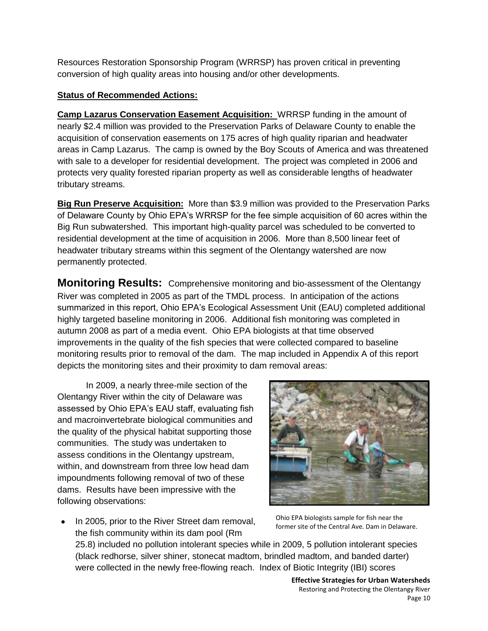Resources Restoration Sponsorship Program (WRRSP) has proven critical in preventing conversion of high quality areas into housing and/or other developments.

#### **Status of Recommended Actions:**

**Camp Lazarus Conservation Easement Acquisition:** WRRSP funding in the amount of nearly \$2.4 million was provided to the Preservation Parks of Delaware County to enable the acquisition of conservation easements on 175 acres of high quality riparian and headwater areas in Camp Lazarus. The camp is owned by the Boy Scouts of America and was threatened with sale to a developer for residential development. The project was completed in 2006 and protects very quality forested riparian property as well as considerable lengths of headwater tributary streams.

**Big Run Preserve Acquisition:** More than \$3.9 million was provided to the Preservation Parks of Delaware County by Ohio EPA's WRRSP for the fee simple acquisition of 60 acres within the Big Run subwatershed. This important high-quality parcel was scheduled to be converted to residential development at the time of acquisition in 2006. More than 8,500 linear feet of headwater tributary streams within this segment of the Olentangy watershed are now permanently protected.

**Monitoring Results:** Comprehensive monitoring and bio-assessment of the Olentangy River was completed in 2005 as part of the TMDL process. In anticipation of the actions summarized in this report, Ohio EPA's Ecological Assessment Unit (EAU) completed additional highly targeted baseline monitoring in 2006. Additional fish monitoring was completed in autumn 2008 as part of a media event. Ohio EPA biologists at that time observed improvements in the quality of the fish species that were collected compared to baseline monitoring results prior to removal of the dam. The map included in Appendix A of this report depicts the monitoring sites and their proximity to dam removal areas:

In 2009, a nearly three-mile section of the Olentangy River within the city of Delaware was assessed by Ohio EPA's EAU staff, evaluating fish and macroinvertebrate biological communities and the quality of the physical habitat supporting those communities. The study was undertaken to assess conditions in the Olentangy upstream, within, and downstream from three low head dam impoundments following removal of two of these dams. Results have been impressive with the following observations:



In 2005, prior to the River Street dam removal, the fish community within its dam pool (Rm

Ohio EPA biologists sample for fish near the former site of the Central Ave. Dam in Delaware.

25.8) included no pollution intolerant species while in 2009, 5 pollution intolerant species (black redhorse, silver shiner, stonecat madtom, brindled madtom, and banded darter) were collected in the newly free-flowing reach. Index of Biotic Integrity (IBI) scores

> **Effective Strategies for Urban Watersheds** Restoring and Protecting the Olentangy River Page 10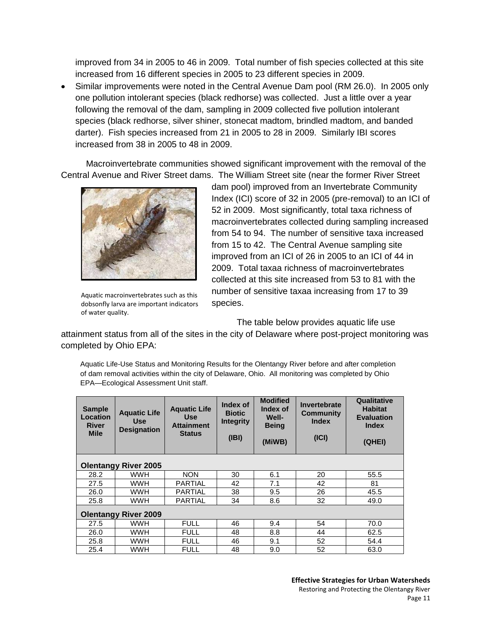improved from 34 in 2005 to 46 in 2009. Total number of fish species collected at this site increased from 16 different species in 2005 to 23 different species in 2009.

Similar improvements were noted in the Central Avenue Dam pool (RM 26.0). In 2005 only  $\bullet$ one pollution intolerant species (black redhorse) was collected. Just a little over a year following the removal of the dam, sampling in 2009 collected five pollution intolerant species (black redhorse, silver shiner, stonecat madtom, brindled madtom, and banded darter). Fish species increased from 21 in 2005 to 28 in 2009. Similarly IBI scores increased from 38 in 2005 to 48 in 2009.

Macroinvertebrate communities showed significant improvement with the removal of the Central Avenue and River Street dams. The William Street site (near the former River Street



Aquatic macroinvertebrates such as this dobsonfly larva are important indicators of water quality.

dam pool) improved from an Invertebrate Community Index (ICI) score of 32 in 2005 (pre-removal) to an ICI of 52 in 2009. Most significantly, total taxa richness of macroinvertebrates collected during sampling increased from 54 to 94. The number of sensitive taxa increased from 15 to 42. The Central Avenue sampling site improved from an ICI of 26 in 2005 to an ICI of 44 in 2009. Total taxaa richness of macroinvertebrates collected at this site increased from 53 to 81 with the number of sensitive taxaa increasing from 17 to 39 species.

The table below provides aquatic life use

attainment status from all of the sites in the city of Delaware where post-project monitoring was completed by Ohio EPA:

Aquatic Life-Use Status and Monitoring Results for the Olentangy River before and after completion of dam removal activities within the city of Delaware, Ohio. All monitoring was completed by Ohio EPA—Ecological Assessment Unit staff.

| <b>Sample</b><br>Location<br><b>River</b><br><b>Mile</b> | <b>Aquatic Life</b><br><b>Use</b><br><b>Designation</b> | <b>Aquatic Life</b><br><b>Use</b><br><b>Attainment</b><br><b>Status</b> | Index of<br><b>Biotic</b><br><b>Integrity</b><br>(IBI) | <b>Modified</b><br>Index of<br>Well-<br><b>Being</b><br>(MiWB) | Invertebrate<br>Community<br><b>Index</b><br>(ICI) | Qualitative<br><b>Habitat</b><br><b>Evaluation</b><br><b>Index</b><br>(QHEI) |  |  |
|----------------------------------------------------------|---------------------------------------------------------|-------------------------------------------------------------------------|--------------------------------------------------------|----------------------------------------------------------------|----------------------------------------------------|------------------------------------------------------------------------------|--|--|
| <b>Olentangy River 2005</b>                              |                                                         |                                                                         |                                                        |                                                                |                                                    |                                                                              |  |  |
| 28.2                                                     | <b>WWH</b>                                              | <b>NON</b>                                                              | 30                                                     | 6.1                                                            | 20                                                 | 55.5                                                                         |  |  |
| 27.5                                                     | WWH                                                     | <b>PARTIAL</b>                                                          | 42                                                     | 7.1                                                            | 42                                                 | 81                                                                           |  |  |
| 26.0                                                     | WWH                                                     | <b>PARTIAL</b>                                                          | 38                                                     | 9.5                                                            | 26                                                 | 45.5                                                                         |  |  |
| 25.8                                                     | <b>WWH</b>                                              | <b>PARTIAL</b>                                                          | 34                                                     | 8.6                                                            | 32                                                 | 49.0                                                                         |  |  |
| <b>Olentangy River 2009</b>                              |                                                         |                                                                         |                                                        |                                                                |                                                    |                                                                              |  |  |
| 27.5                                                     | <b>WWH</b>                                              | <b>FULL</b>                                                             | 46                                                     | 9.4                                                            | 54                                                 | 70.0                                                                         |  |  |
| 26.0                                                     | WWH                                                     | <b>FULL</b>                                                             | 48                                                     | 8.8                                                            | 44                                                 | 62.5                                                                         |  |  |
| 25.8                                                     | WWH                                                     | <b>FULL</b>                                                             | 46                                                     | 9.1                                                            | 52                                                 | 54.4                                                                         |  |  |
| 25.4                                                     | <b>WWH</b>                                              | <b>FULL</b>                                                             | 48                                                     | 9.0                                                            | 52                                                 | 63.0                                                                         |  |  |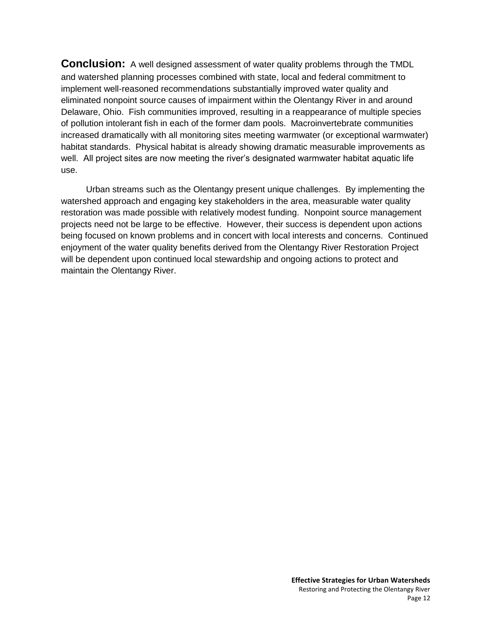**Conclusion:** A well designed assessment of water quality problems through the TMDL and watershed planning processes combined with state, local and federal commitment to implement well-reasoned recommendations substantially improved water quality and eliminated nonpoint source causes of impairment within the Olentangy River in and around Delaware, Ohio. Fish communities improved, resulting in a reappearance of multiple species of pollution intolerant fish in each of the former dam pools. Macroinvertebrate communities increased dramatically with all monitoring sites meeting warmwater (or exceptional warmwater) habitat standards. Physical habitat is already showing dramatic measurable improvements as well. All project sites are now meeting the river's designated warmwater habitat aquatic life use.

Urban streams such as the Olentangy present unique challenges. By implementing the watershed approach and engaging key stakeholders in the area, measurable water quality restoration was made possible with relatively modest funding. Nonpoint source management projects need not be large to be effective. However, their success is dependent upon actions being focused on known problems and in concert with local interests and concerns. Continued enjoyment of the water quality benefits derived from the Olentangy River Restoration Project will be dependent upon continued local stewardship and ongoing actions to protect and maintain the Olentangy River.